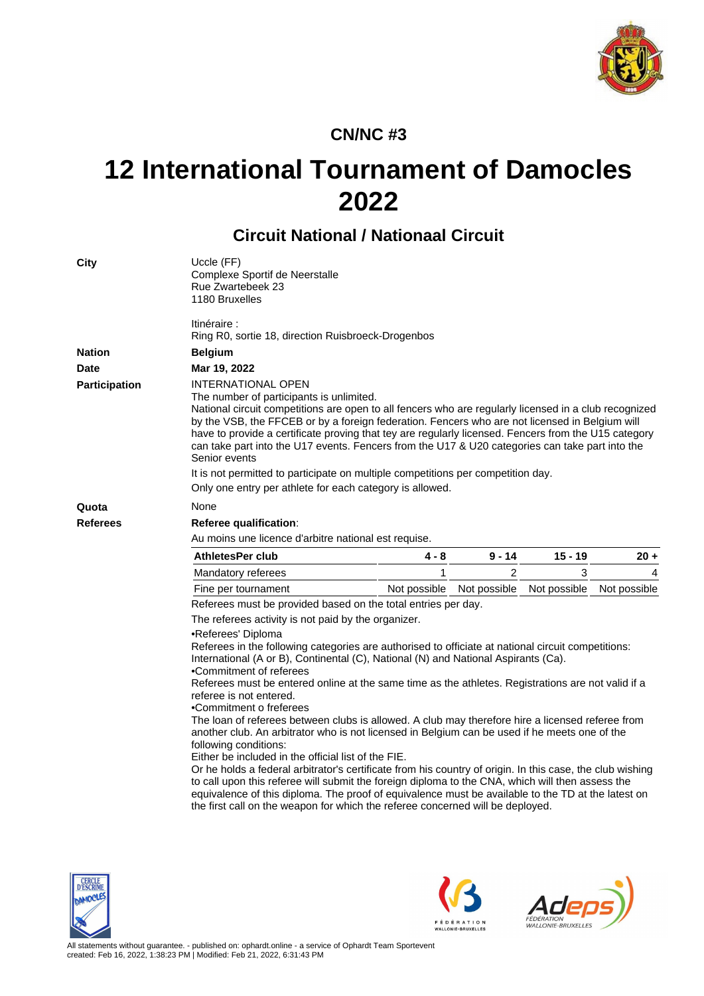

## **CN/NC #3**

## **12 International Tournament of Damocles 2022**

## **Circuit National / Nationaal Circuit**

| Uccle (FF)<br>Complexe Sportif de Neerstalle<br>Rue Zwartebeek 23<br>1180 Bruxelles                                                                                                                                                                                                                                                                                                                                                                                                                                                                                                                                                                                                                                                                                                                                                                                                                                                                                                                                                                                                                 |                                         |                |              |                                                                                  |  |  |  |  |  |
|-----------------------------------------------------------------------------------------------------------------------------------------------------------------------------------------------------------------------------------------------------------------------------------------------------------------------------------------------------------------------------------------------------------------------------------------------------------------------------------------------------------------------------------------------------------------------------------------------------------------------------------------------------------------------------------------------------------------------------------------------------------------------------------------------------------------------------------------------------------------------------------------------------------------------------------------------------------------------------------------------------------------------------------------------------------------------------------------------------|-----------------------------------------|----------------|--------------|----------------------------------------------------------------------------------|--|--|--|--|--|
| ltinéraire :<br>Ring R0, sortie 18, direction Ruisbroeck-Drogenbos                                                                                                                                                                                                                                                                                                                                                                                                                                                                                                                                                                                                                                                                                                                                                                                                                                                                                                                                                                                                                                  |                                         |                |              |                                                                                  |  |  |  |  |  |
| <b>Belgium</b>                                                                                                                                                                                                                                                                                                                                                                                                                                                                                                                                                                                                                                                                                                                                                                                                                                                                                                                                                                                                                                                                                      |                                         |                |              |                                                                                  |  |  |  |  |  |
| Mar 19, 2022                                                                                                                                                                                                                                                                                                                                                                                                                                                                                                                                                                                                                                                                                                                                                                                                                                                                                                                                                                                                                                                                                        |                                         |                |              |                                                                                  |  |  |  |  |  |
| <b>INTERNATIONAL OPEN</b><br>The number of participants is unlimited.<br>National circuit competitions are open to all fencers who are regularly licensed in a club recognized<br>by the VSB, the FFCEB or by a foreign federation. Fencers who are not licensed in Belgium will<br>have to provide a certificate proving that tey are regularly licensed. Fencers from the U15 category<br>can take part into the U17 events. Fencers from the U17 & U20 categories can take part into the                                                                                                                                                                                                                                                                                                                                                                                                                                                                                                                                                                                                         |                                         |                |              |                                                                                  |  |  |  |  |  |
|                                                                                                                                                                                                                                                                                                                                                                                                                                                                                                                                                                                                                                                                                                                                                                                                                                                                                                                                                                                                                                                                                                     |                                         |                |              |                                                                                  |  |  |  |  |  |
| Only one entry per athlete for each category is allowed.                                                                                                                                                                                                                                                                                                                                                                                                                                                                                                                                                                                                                                                                                                                                                                                                                                                                                                                                                                                                                                            |                                         |                |              |                                                                                  |  |  |  |  |  |
| None                                                                                                                                                                                                                                                                                                                                                                                                                                                                                                                                                                                                                                                                                                                                                                                                                                                                                                                                                                                                                                                                                                |                                         |                |              |                                                                                  |  |  |  |  |  |
|                                                                                                                                                                                                                                                                                                                                                                                                                                                                                                                                                                                                                                                                                                                                                                                                                                                                                                                                                                                                                                                                                                     |                                         |                |              |                                                                                  |  |  |  |  |  |
| Au moins une licence d'arbitre national est requise.                                                                                                                                                                                                                                                                                                                                                                                                                                                                                                                                                                                                                                                                                                                                                                                                                                                                                                                                                                                                                                                |                                         |                |              |                                                                                  |  |  |  |  |  |
| <b>AthletesPer club</b>                                                                                                                                                                                                                                                                                                                                                                                                                                                                                                                                                                                                                                                                                                                                                                                                                                                                                                                                                                                                                                                                             | 4 - 8                                   | $9 - 14$       | $15 - 19$    | $20 +$                                                                           |  |  |  |  |  |
| Mandatory referees                                                                                                                                                                                                                                                                                                                                                                                                                                                                                                                                                                                                                                                                                                                                                                                                                                                                                                                                                                                                                                                                                  | 1                                       | $\overline{c}$ | 3            | 4                                                                                |  |  |  |  |  |
| Fine per tournament                                                                                                                                                                                                                                                                                                                                                                                                                                                                                                                                                                                                                                                                                                                                                                                                                                                                                                                                                                                                                                                                                 | Not possible                            | Not possible   | Not possible | Not possible                                                                     |  |  |  |  |  |
| Referees must be provided based on the total entries per day.                                                                                                                                                                                                                                                                                                                                                                                                                                                                                                                                                                                                                                                                                                                                                                                                                                                                                                                                                                                                                                       |                                         |                |              |                                                                                  |  |  |  |  |  |
| The referees activity is not paid by the organizer.                                                                                                                                                                                                                                                                                                                                                                                                                                                                                                                                                                                                                                                                                                                                                                                                                                                                                                                                                                                                                                                 |                                         |                |              |                                                                                  |  |  |  |  |  |
| •Referees' Diploma<br>Referees in the following categories are authorised to officiate at national circuit competitions:<br>International (A or B), Continental (C), National (N) and National Aspirants (Ca).<br>•Commitment of referees<br>Referees must be entered online at the same time as the athletes. Registrations are not valid if a<br>referee is not entered.<br>•Commitment o freferees<br>The loan of referees between clubs is allowed. A club may therefore hire a licensed referee from<br>another club. An arbitrator who is not licensed in Belgium can be used if he meets one of the<br>following conditions:<br>Either be included in the official list of the FIE.<br>Or he holds a federal arbitrator's certificate from his country of origin. In this case, the club wishing<br>to call upon this referee will submit the foreign diploma to the CNA, which will then assess the<br>equivalence of this diploma. The proof of equivalence must be available to the TD at the latest on<br>the first call on the weapon for which the referee concerned will be deployed. |                                         |                |              |                                                                                  |  |  |  |  |  |
|                                                                                                                                                                                                                                                                                                                                                                                                                                                                                                                                                                                                                                                                                                                                                                                                                                                                                                                                                                                                                                                                                                     | Senior events<br>Referee qualification: |                |              | It is not permitted to participate on multiple competitions per competition day. |  |  |  |  |  |